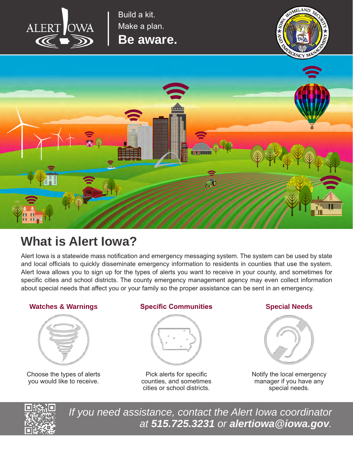

Build a kit. Make a plan.

**Be aware.**





# **What is Alert Iowa?**

Alert Iowa is a statewide mass notification and emergency messaging system. The system can be used by state and local officials to quickly disseminate emergency information to residents in counties that use the system. Alert Iowa allows you to sign up for the types of alerts you want to receive in your county, and sometimes for specific cities and school districts. The county emergency management agency may even collect information about special needs that affect you or your family so the proper assistance can be sent in an emergency.

## **Watches & Warnings**



Choose the types of alerts you would like to receive.

### **Specific Communities Special Needs**



Pick alerts for specific counties, and sometimes cities or school districts.



Notify the local emergency manager if you have any special needs.



*If you need assistance, contact the Alert Iowa coordinator at 515.725.3231 or alertiowa@iowa.gov.*